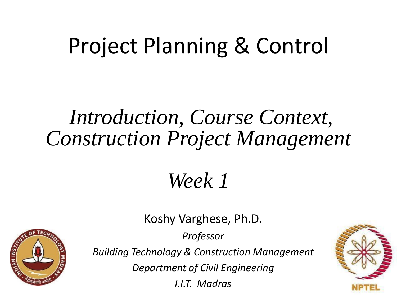## Project Planning & Control

### *Introduction, Course Context, Construction Project Management*

*Week 1*

**OIAN INSTITUTION** 

Koshy Varghese, Ph.D.

*Professor*

*Building Technology & Construction Management*

*Department of Civil Engineering*

*I.I.T. Madras*

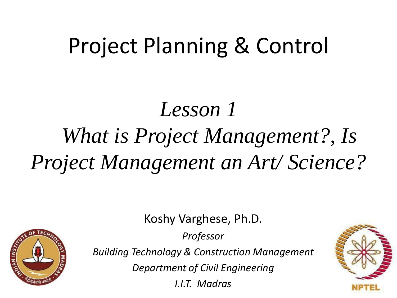## Project Planning & Control

# *Lesson 1 What is Project Management?, Is Project Management an Art/ Science?*

Koshy Varghese, Ph.D.

*Professor*



*Building Technology & Construction Management*

*Department of Civil Engineering*

*I.I.T. Madras*

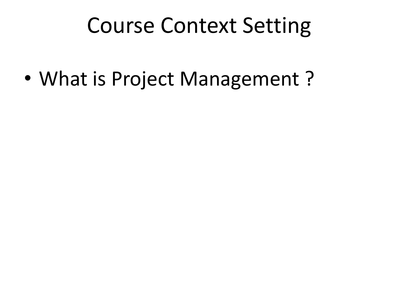### Course Context Setting

• What is Project Management?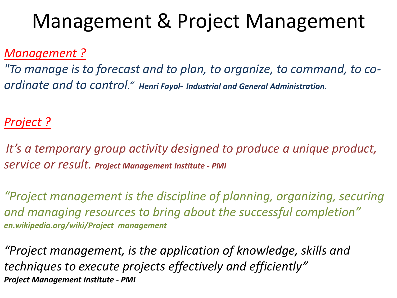### Management & Project Management

#### *Management ?*

*"To manage is to forecast and to plan, to organize, to command, to coordinate and to control." Henri Fayol*- *Industrial and General Administration.*

#### *Project ?*

*It's a temporary group activity designed to produce a unique product, service or result. Project Management Institute - PMI*

*"Project management is the discipline of planning, organizing, securing and managing resources to bring about the successful completion" en.wikipedia.org/wiki/Project management*

*"Project management, is the application of knowledge, skills and techniques to execute projects effectively and efficiently" Project Management Institute - PMI*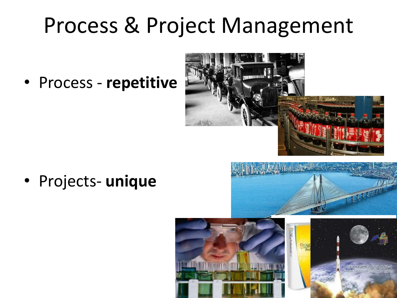### Process & Project Management

• Process - **repetitive**



• Projects- **unique**



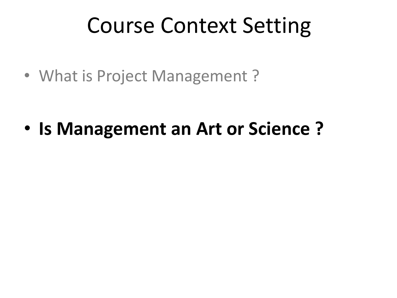### Course Context Setting

• What is Project Management ?

• **Is Management an Art or Science ?**